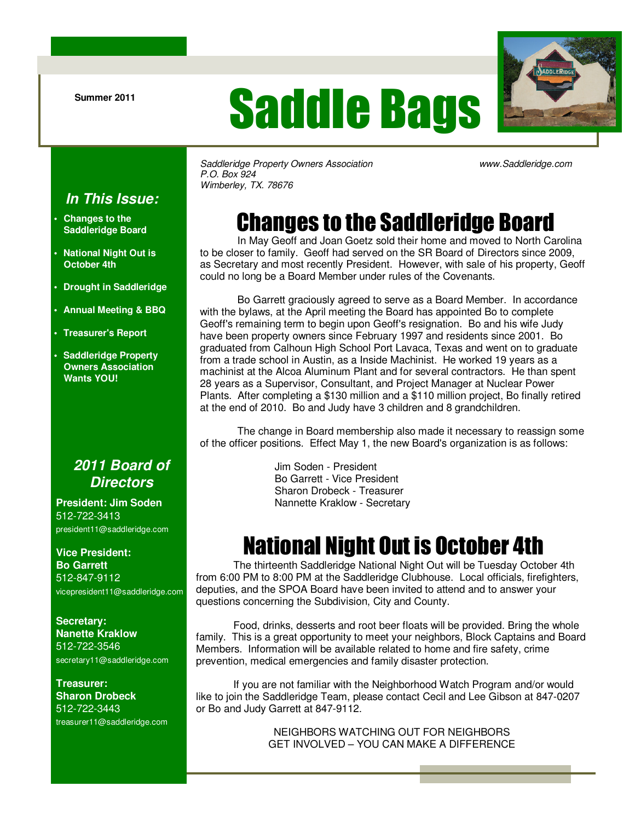# Saddle Bags



Saddleridge Property Owners Association www.Saddleridge.com P.O. Box 924 Wimberley, TX. 78676

#### **In This Issue:**

- **Changes to the Saddleridge Board**
- **National Night Out is October 4th**
- **Drought in Saddleridge**
- **Annual Meeting & BBQ**
- **Treasurer's Report**
- **Saddleridge Property Owners Association Wants YOU!**

#### **2011 Board of Directors**

**President: Jim Soden** 512-722-3413 president11@saddleridge.com

#### **Vice President:**

**Bo Garrett**  512-847-9112 vicepresident11@saddleridge.com

#### **Secretary: Nanette Kraklow** 512-722-3546 secretary11@saddleridge.com

**Treasurer: Sharon Drobeck** 512-722-3443

treasurer11@saddleridge.com

## Changes to the Saddleridge Board

 In May Geoff and Joan Goetz sold their home and moved to North Carolina to be closer to family. Geoff had served on the SR Board of Directors since 2009, as Secretary and most recently President. However, with sale of his property, Geoff could no long be a Board Member under rules of the Covenants.

 Bo Garrett graciously agreed to serve as a Board Member. In accordance with the bylaws, at the April meeting the Board has appointed Bo to complete Geoff's remaining term to begin upon Geoff's resignation. Bo and his wife Judy have been property owners since February 1997 and residents since 2001. Bo graduated from Calhoun High School Port Lavaca, Texas and went on to graduate from a trade school in Austin, as a Inside Machinist. He worked 19 years as a machinist at the Alcoa Aluminum Plant and for several contractors. He than spent 28 years as a Supervisor, Consultant, and Project Manager at Nuclear Power Plants. After completing a \$130 million and a \$110 million project, Bo finally retired at the end of 2010. Bo and Judy have 3 children and 8 grandchildren.

 The change in Board membership also made it necessary to reassign some of the officer positions. Effect May 1, the new Board's organization is as follows:

> Jim Soden - President Bo Garrett - Vice President Sharon Drobeck - Treasurer Nannette Kraklow - Secretary

## National Night Out is October 4th

 The thirteenth Saddleridge National Night Out will be Tuesday October 4th from 6:00 PM to 8:00 PM at the Saddleridge Clubhouse. Local officials, firefighters, deputies, and the SPOA Board have been invited to attend and to answer your questions concerning the Subdivision, City and County.

 Food, drinks, desserts and root beer floats will be provided. Bring the whole family. This is a great opportunity to meet your neighbors, Block Captains and Board Members. Information will be available related to home and fire safety, crime prevention, medical emergencies and family disaster protection.

 If you are not familiar with the Neighborhood Watch Program and/or would like to join the Saddleridge Team, please contact Cecil and Lee Gibson at 847-0207 or Bo and Judy Garrett at 847-9112.

> NEIGHBORS WATCHING OUT FOR NEIGHBORS GET INVOLVED – YOU CAN MAKE A DIFFERENCE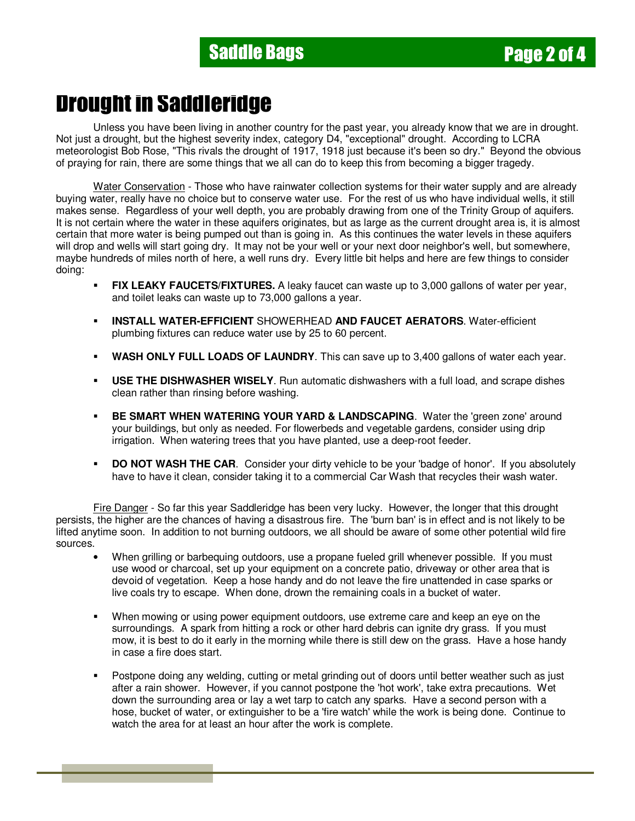### Drought in Saddleridge

 Unless you have been living in another country for the past year, you already know that we are in drought. Not just a drought, but the highest severity index, category D4, "exceptional" drought. According to LCRA meteorologist Bob Rose, "This rivals the drought of 1917, 1918 just because it's been so dry." Beyond the obvious of praying for rain, there are some things that we all can do to keep this from becoming a bigger tragedy.

 Water Conservation - Those who have rainwater collection systems for their water supply and are already buying water, really have no choice but to conserve water use. For the rest of us who have individual wells, it still makes sense. Regardless of your well depth, you are probably drawing from one of the Trinity Group of aquifers. It is not certain where the water in these aquifers originates, but as large as the current drought area is, it is almost certain that more water is being pumped out than is going in. As this continues the water levels in these aquifers will drop and wells will start going dry. It may not be your well or your next door neighbor's well, but somewhere, maybe hundreds of miles north of here, a well runs dry. Every little bit helps and here are few things to consider doing:

- **FIX LEAKY FAUCETS/FIXTURES.** A leaky faucet can waste up to 3,000 gallons of water per year, and toilet leaks can waste up to 73,000 gallons a year.
- **INSTALL WATER-EFFICIENT** SHOWERHEAD **AND FAUCET AERATORS**. Water-efficient plumbing fixtures can reduce water use by 25 to 60 percent.
- **WASH ONLY FULL LOADS OF LAUNDRY**. This can save up to 3,400 gallons of water each year.
- **USE THE DISHWASHER WISELY**. Run automatic dishwashers with a full load, and scrape dishes clean rather than rinsing before washing.
- **BE SMART WHEN WATERING YOUR YARD & LANDSCAPING.** Water the 'green zone' around your buildings, but only as needed. For flowerbeds and vegetable gardens, consider using drip irrigation. When watering trees that you have planted, use a deep-root feeder.
- **DO NOT WASH THE CAR.** Consider your dirty vehicle to be your 'badge of honor'. If you absolutely have to have it clean, consider taking it to a commercial Car Wash that recycles their wash water.

Fire Danger - So far this year Saddleridge has been very lucky. However, the longer that this drought persists, the higher are the chances of having a disastrous fire. The 'burn ban' is in effect and is not likely to be lifted anytime soon. In addition to not burning outdoors, we all should be aware of some other potential wild fire sources.

- When grilling or barbequing outdoors, use a propane fueled grill whenever possible. If you must use wood or charcoal, set up your equipment on a concrete patio, driveway or other area that is devoid of vegetation. Keep a hose handy and do not leave the fire unattended in case sparks or live coals try to escape. When done, drown the remaining coals in a bucket of water.
- When mowing or using power equipment outdoors, use extreme care and keep an eye on the surroundings. A spark from hitting a rock or other hard debris can ignite dry grass. If you must mow, it is best to do it early in the morning while there is still dew on the grass. Have a hose handy in case a fire does start.
- Postpone doing any welding, cutting or metal grinding out of doors until better weather such as just after a rain shower. However, if you cannot postpone the 'hot work', take extra precautions. Wet down the surrounding area or lay a wet tarp to catch any sparks. Have a second person with a hose, bucket of water, or extinguisher to be a 'fire watch' while the work is being done. Continue to watch the area for at least an hour after the work is complete.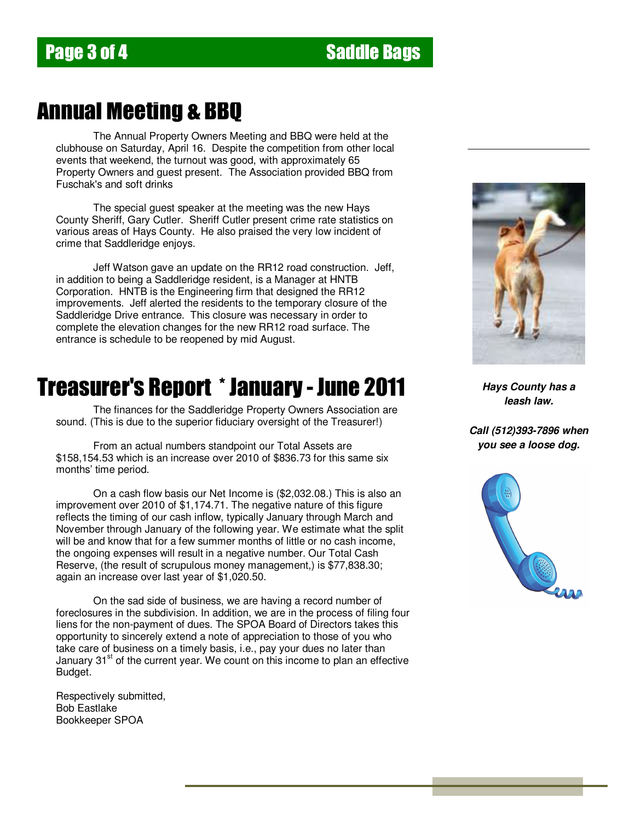### Annual Meeting & BBQ

 The Annual Property Owners Meeting and BBQ were held at the clubhouse on Saturday, April 16. Despite the competition from other local events that weekend, the turnout was good, with approximately 65 Property Owners and guest present. The Association provided BBQ from Fuschak's and soft drinks

The special quest speaker at the meeting was the new Hays County Sheriff, Gary Cutler. Sheriff Cutler present crime rate statistics on various areas of Hays County. He also praised the very low incident of crime that Saddleridge enjoys.

 Jeff Watson gave an update on the RR12 road construction. Jeff, in addition to being a Saddleridge resident, is a Manager at HNTB Corporation. HNTB is the Engineering firm that designed the RR12 improvements. Jeff alerted the residents to the temporary closure of the Saddleridge Drive entrance. This closure was necessary in order to complete the elevation changes for the new RR12 road surface. The entrance is schedule to be reopened by mid August.

### Treasurer's Report \* January - June 2011

 The finances for the Saddleridge Property Owners Association are sound. (This is due to the superior fiduciary oversight of the Treasurer!)

 From an actual numbers standpoint our Total Assets are \$158,154.53 which is an increase over 2010 of \$836.73 for this same six months' time period.

 On a cash flow basis our Net Income is (\$2,032.08.) This is also an improvement over 2010 of \$1,174.71. The negative nature of this figure reflects the timing of our cash inflow, typically January through March and November through January of the following year. We estimate what the split will be and know that for a few summer months of little or no cash income, the ongoing expenses will result in a negative number. Our Total Cash Reserve, (the result of scrupulous money management,) is \$77,838.30; again an increase over last year of \$1,020.50.

 On the sad side of business, we are having a record number of foreclosures in the subdivision. In addition, we are in the process of filing four liens for the non-payment of dues. The SPOA Board of Directors takes this opportunity to sincerely extend a note of appreciation to those of you who take care of business on a timely basis, i.e., pay your dues no later than January  $31<sup>st</sup>$  of the current year. We count on this income to plan an effective Budget.

Respectively submitted, Bob Eastlake Bookkeeper SPOA



**Hays County has a leash law.** 

**Call (512)393-7896 when you see a loose dog.**